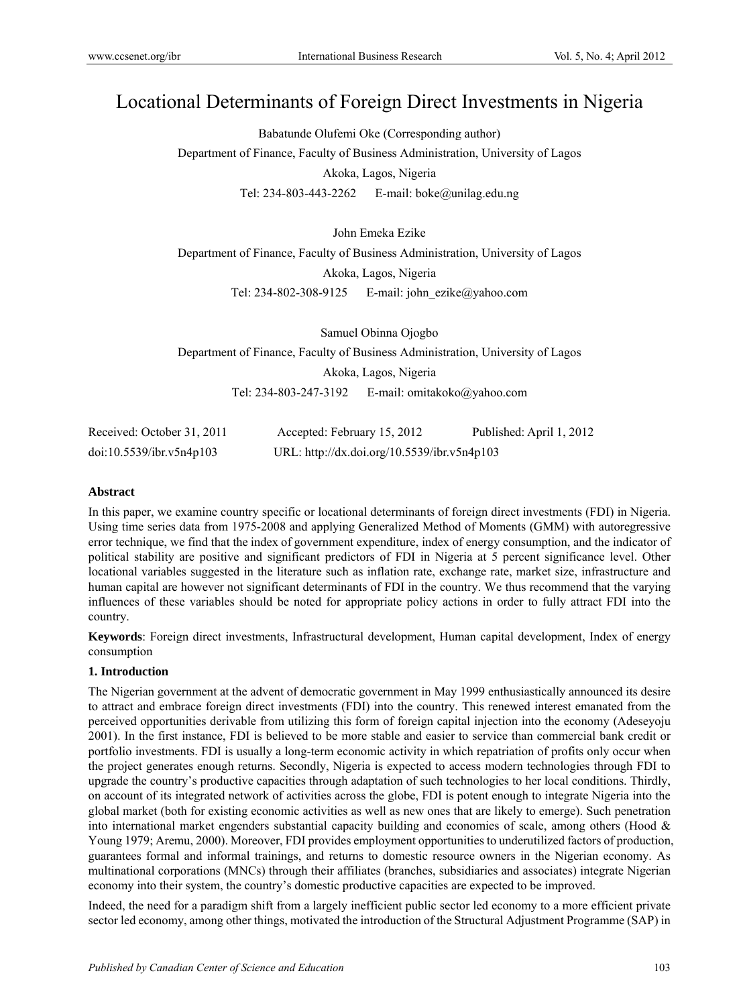# Locational Determinants of Foreign Direct Investments in Nigeria

Babatunde Olufemi Oke (Corresponding author) Department of Finance, Faculty of Business Administration, University of Lagos Akoka, Lagos, Nigeria Tel: 234-803-443-2262 E-mail: boke@unilag.edu.ng

John Emeka Ezike

Department of Finance, Faculty of Business Administration, University of Lagos Akoka, Lagos, Nigeria Tel: 234-802-308-9125 E-mail: john\_ezike@yahoo.com

Samuel Obinna Ojogbo Department of Finance, Faculty of Business Administration, University of Lagos Akoka, Lagos, Nigeria Tel: 234-803-247-3192 E-mail: omitakoko@yahoo.com

| Received: October 31, 2011 | Accepted: February 15, 2012                 | Published: April 1, 2012 |
|----------------------------|---------------------------------------------|--------------------------|
| doi:10.5539/ibr.v5n4p103   | URL: http://dx.doi.org/10.5539/ibr.v5n4p103 |                          |

#### **Abstract**

In this paper, we examine country specific or locational determinants of foreign direct investments (FDI) in Nigeria. Using time series data from 1975-2008 and applying Generalized Method of Moments (GMM) with autoregressive error technique, we find that the index of government expenditure, index of energy consumption, and the indicator of political stability are positive and significant predictors of FDI in Nigeria at 5 percent significance level. Other locational variables suggested in the literature such as inflation rate, exchange rate, market size, infrastructure and human capital are however not significant determinants of FDI in the country. We thus recommend that the varying influences of these variables should be noted for appropriate policy actions in order to fully attract FDI into the country.

**Keywords**: Foreign direct investments, Infrastructural development, Human capital development, Index of energy consumption

#### **1. Introduction**

The Nigerian government at the advent of democratic government in May 1999 enthusiastically announced its desire to attract and embrace foreign direct investments (FDI) into the country. This renewed interest emanated from the perceived opportunities derivable from utilizing this form of foreign capital injection into the economy (Adeseyoju 2001). In the first instance, FDI is believed to be more stable and easier to service than commercial bank credit or portfolio investments. FDI is usually a long-term economic activity in which repatriation of profits only occur when the project generates enough returns. Secondly, Nigeria is expected to access modern technologies through FDI to upgrade the country's productive capacities through adaptation of such technologies to her local conditions. Thirdly, on account of its integrated network of activities across the globe, FDI is potent enough to integrate Nigeria into the global market (both for existing economic activities as well as new ones that are likely to emerge). Such penetration into international market engenders substantial capacity building and economies of scale, among others (Hood & Young 1979; Aremu, 2000). Moreover, FDI provides employment opportunities to underutilized factors of production, guarantees formal and informal trainings, and returns to domestic resource owners in the Nigerian economy. As multinational corporations (MNCs) through their affiliates (branches, subsidiaries and associates) integrate Nigerian economy into their system, the country's domestic productive capacities are expected to be improved.

Indeed, the need for a paradigm shift from a largely inefficient public sector led economy to a more efficient private sector led economy, among other things, motivated the introduction of the Structural Adjustment Programme (SAP) in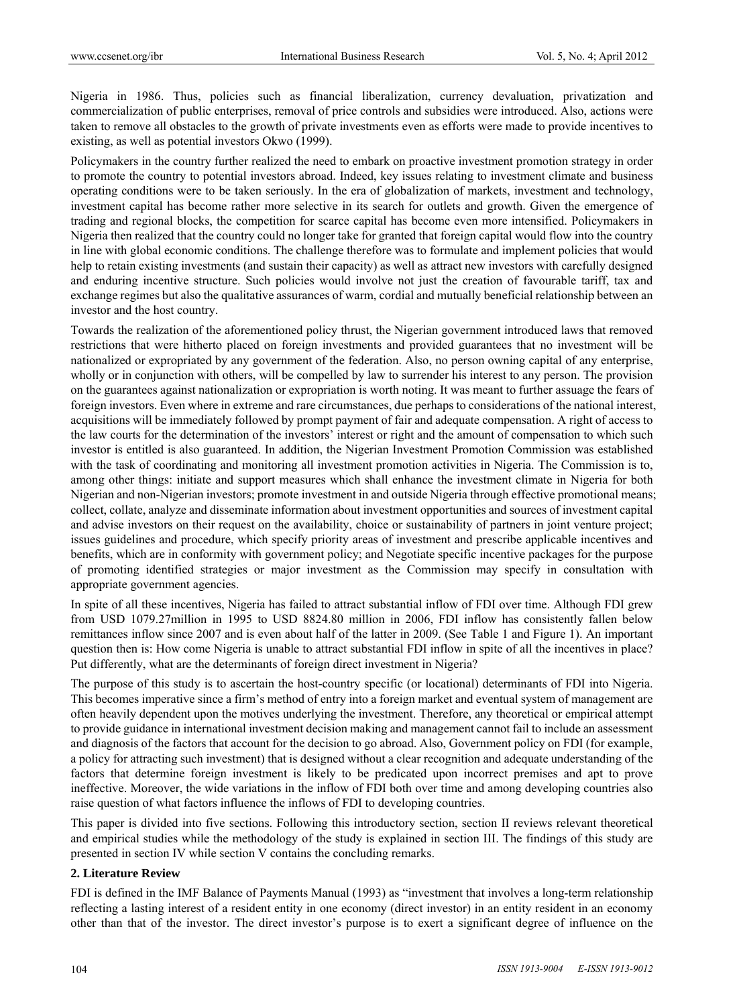Nigeria in 1986. Thus, policies such as financial liberalization, currency devaluation, privatization and commercialization of public enterprises, removal of price controls and subsidies were introduced. Also, actions were taken to remove all obstacles to the growth of private investments even as efforts were made to provide incentives to existing, as well as potential investors Okwo (1999).

Policymakers in the country further realized the need to embark on proactive investment promotion strategy in order to promote the country to potential investors abroad. Indeed, key issues relating to investment climate and business operating conditions were to be taken seriously. In the era of globalization of markets, investment and technology, investment capital has become rather more selective in its search for outlets and growth. Given the emergence of trading and regional blocks, the competition for scarce capital has become even more intensified. Policymakers in Nigeria then realized that the country could no longer take for granted that foreign capital would flow into the country in line with global economic conditions. The challenge therefore was to formulate and implement policies that would help to retain existing investments (and sustain their capacity) as well as attract new investors with carefully designed and enduring incentive structure. Such policies would involve not just the creation of favourable tariff, tax and exchange regimes but also the qualitative assurances of warm, cordial and mutually beneficial relationship between an investor and the host country.

Towards the realization of the aforementioned policy thrust, the Nigerian government introduced laws that removed restrictions that were hitherto placed on foreign investments and provided guarantees that no investment will be nationalized or expropriated by any government of the federation. Also, no person owning capital of any enterprise, wholly or in conjunction with others, will be compelled by law to surrender his interest to any person. The provision on the guarantees against nationalization or expropriation is worth noting. It was meant to further assuage the fears of foreign investors. Even where in extreme and rare circumstances, due perhaps to considerations of the national interest, acquisitions will be immediately followed by prompt payment of fair and adequate compensation. A right of access to the law courts for the determination of the investors' interest or right and the amount of compensation to which such investor is entitled is also guaranteed. In addition, the Nigerian Investment Promotion Commission was established with the task of coordinating and monitoring all investment promotion activities in Nigeria. The Commission is to, among other things: initiate and support measures which shall enhance the investment climate in Nigeria for both Nigerian and non-Nigerian investors; promote investment in and outside Nigeria through effective promotional means; collect, collate, analyze and disseminate information about investment opportunities and sources of investment capital and advise investors on their request on the availability, choice or sustainability of partners in joint venture project; issues guidelines and procedure, which specify priority areas of investment and prescribe applicable incentives and benefits, which are in conformity with government policy; and Negotiate specific incentive packages for the purpose of promoting identified strategies or major investment as the Commission may specify in consultation with appropriate government agencies.

In spite of all these incentives, Nigeria has failed to attract substantial inflow of FDI over time. Although FDI grew from USD 1079.27million in 1995 to USD 8824.80 million in 2006, FDI inflow has consistently fallen below remittances inflow since 2007 and is even about half of the latter in 2009. (See Table 1 and Figure 1). An important question then is: How come Nigeria is unable to attract substantial FDI inflow in spite of all the incentives in place? Put differently, what are the determinants of foreign direct investment in Nigeria?

The purpose of this study is to ascertain the host-country specific (or locational) determinants of FDI into Nigeria. This becomes imperative since a firm's method of entry into a foreign market and eventual system of management are often heavily dependent upon the motives underlying the investment. Therefore, any theoretical or empirical attempt to provide guidance in international investment decision making and management cannot fail to include an assessment and diagnosis of the factors that account for the decision to go abroad. Also, Government policy on FDI (for example, a policy for attracting such investment) that is designed without a clear recognition and adequate understanding of the factors that determine foreign investment is likely to be predicated upon incorrect premises and apt to prove ineffective. Moreover, the wide variations in the inflow of FDI both over time and among developing countries also raise question of what factors influence the inflows of FDI to developing countries.

This paper is divided into five sections. Following this introductory section, section II reviews relevant theoretical and empirical studies while the methodology of the study is explained in section III. The findings of this study are presented in section IV while section V contains the concluding remarks.

#### **2. Literature Review**

FDI is defined in the IMF Balance of Payments Manual (1993) as "investment that involves a long-term relationship reflecting a lasting interest of a resident entity in one economy (direct investor) in an entity resident in an economy other than that of the investor. The direct investor's purpose is to exert a significant degree of influence on the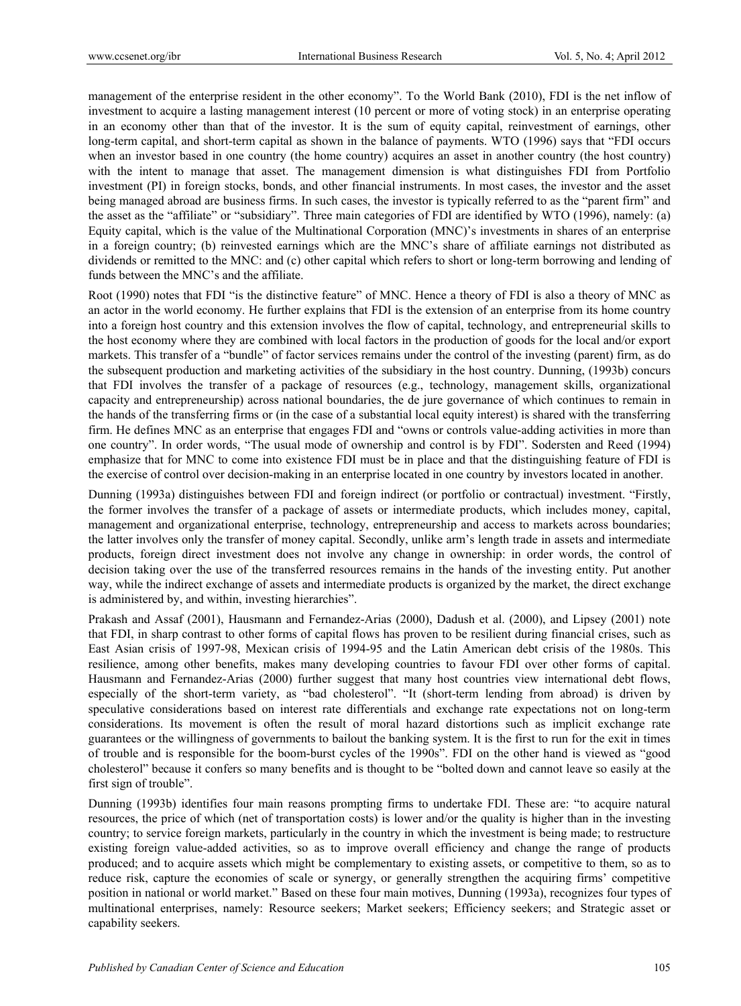management of the enterprise resident in the other economy". To the World Bank (2010), FDI is the net inflow of investment to acquire a lasting management interest (10 percent or more of voting stock) in an enterprise operating in an economy other than that of the investor. It is the sum of equity capital, reinvestment of earnings, other long-term capital, and short-term capital as shown in the balance of payments. WTO (1996) says that "FDI occurs when an investor based in one country (the home country) acquires an asset in another country (the host country) with the intent to manage that asset. The management dimension is what distinguishes FDI from Portfolio investment (PI) in foreign stocks, bonds, and other financial instruments. In most cases, the investor and the asset being managed abroad are business firms. In such cases, the investor is typically referred to as the "parent firm" and the asset as the "affiliate" or "subsidiary". Three main categories of FDI are identified by WTO (1996), namely: (a) Equity capital, which is the value of the Multinational Corporation (MNC)'s investments in shares of an enterprise in a foreign country; (b) reinvested earnings which are the MNC's share of affiliate earnings not distributed as dividends or remitted to the MNC: and (c) other capital which refers to short or long-term borrowing and lending of funds between the MNC's and the affiliate.

Root (1990) notes that FDI "is the distinctive feature" of MNC. Hence a theory of FDI is also a theory of MNC as an actor in the world economy. He further explains that FDI is the extension of an enterprise from its home country into a foreign host country and this extension involves the flow of capital, technology, and entrepreneurial skills to the host economy where they are combined with local factors in the production of goods for the local and/or export markets. This transfer of a "bundle" of factor services remains under the control of the investing (parent) firm, as do the subsequent production and marketing activities of the subsidiary in the host country. Dunning, (1993b) concurs that FDI involves the transfer of a package of resources (e.g., technology, management skills, organizational capacity and entrepreneurship) across national boundaries, the de jure governance of which continues to remain in the hands of the transferring firms or (in the case of a substantial local equity interest) is shared with the transferring firm. He defines MNC as an enterprise that engages FDI and "owns or controls value-adding activities in more than one country". In order words, "The usual mode of ownership and control is by FDI". Sodersten and Reed (1994) emphasize that for MNC to come into existence FDI must be in place and that the distinguishing feature of FDI is the exercise of control over decision-making in an enterprise located in one country by investors located in another.

Dunning (1993a) distinguishes between FDI and foreign indirect (or portfolio or contractual) investment. "Firstly, the former involves the transfer of a package of assets or intermediate products, which includes money, capital, management and organizational enterprise, technology, entrepreneurship and access to markets across boundaries; the latter involves only the transfer of money capital. Secondly, unlike arm's length trade in assets and intermediate products, foreign direct investment does not involve any change in ownership: in order words, the control of decision taking over the use of the transferred resources remains in the hands of the investing entity. Put another way, while the indirect exchange of assets and intermediate products is organized by the market, the direct exchange is administered by, and within, investing hierarchies".

Prakash and Assaf (2001), Hausmann and Fernandez-Arias (2000), Dadush et al. (2000), and Lipsey (2001) note that FDI, in sharp contrast to other forms of capital flows has proven to be resilient during financial crises, such as East Asian crisis of 1997-98, Mexican crisis of 1994-95 and the Latin American debt crisis of the 1980s. This resilience, among other benefits, makes many developing countries to favour FDI over other forms of capital. Hausmann and Fernandez-Arias (2000) further suggest that many host countries view international debt flows, especially of the short-term variety, as "bad cholesterol". "It (short-term lending from abroad) is driven by speculative considerations based on interest rate differentials and exchange rate expectations not on long-term considerations. Its movement is often the result of moral hazard distortions such as implicit exchange rate guarantees or the willingness of governments to bailout the banking system. It is the first to run for the exit in times of trouble and is responsible for the boom-burst cycles of the 1990s". FDI on the other hand is viewed as "good cholesterol" because it confers so many benefits and is thought to be "bolted down and cannot leave so easily at the first sign of trouble".

Dunning (1993b) identifies four main reasons prompting firms to undertake FDI. These are: "to acquire natural resources, the price of which (net of transportation costs) is lower and/or the quality is higher than in the investing country; to service foreign markets, particularly in the country in which the investment is being made; to restructure existing foreign value-added activities, so as to improve overall efficiency and change the range of products produced; and to acquire assets which might be complementary to existing assets, or competitive to them, so as to reduce risk, capture the economies of scale or synergy, or generally strengthen the acquiring firms' competitive position in national or world market." Based on these four main motives, Dunning (1993a), recognizes four types of multinational enterprises, namely: Resource seekers; Market seekers; Efficiency seekers; and Strategic asset or capability seekers.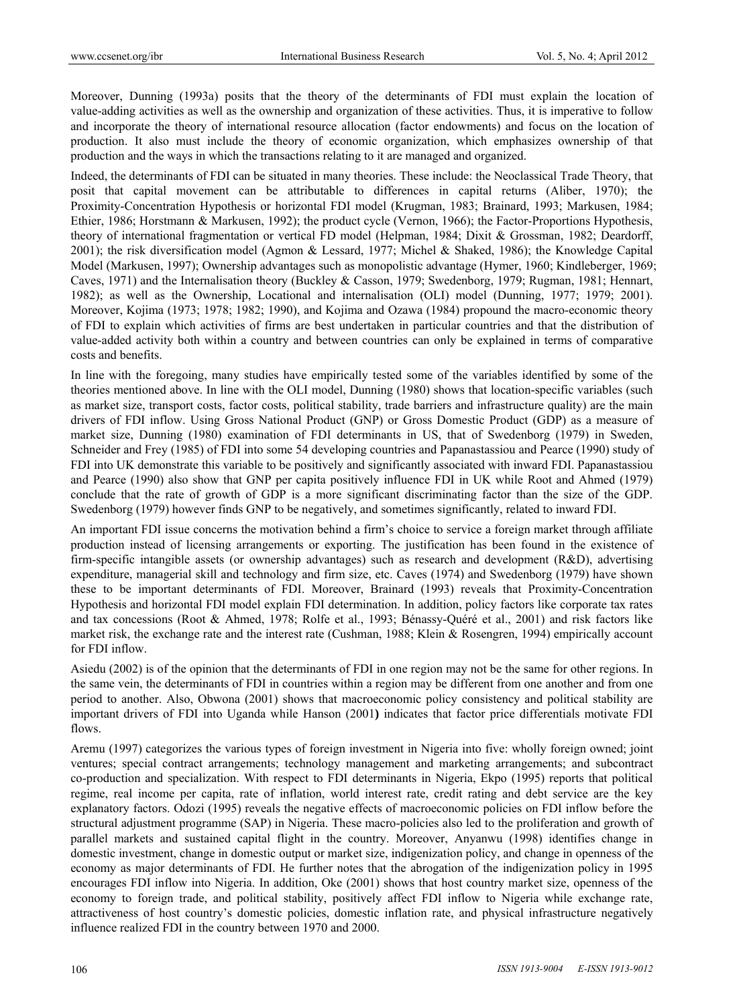Moreover, Dunning (1993a) posits that the theory of the determinants of FDI must explain the location of value-adding activities as well as the ownership and organization of these activities. Thus, it is imperative to follow and incorporate the theory of international resource allocation (factor endowments) and focus on the location of production. It also must include the theory of economic organization, which emphasizes ownership of that production and the ways in which the transactions relating to it are managed and organized.

Indeed, the determinants of FDI can be situated in many theories. These include: the Neoclassical Trade Theory, that posit that capital movement can be attributable to differences in capital returns (Aliber, 1970); the Proximity-Concentration Hypothesis or horizontal FDI model (Krugman, 1983; Brainard, 1993; Markusen, 1984; Ethier, 1986; Horstmann & Markusen, 1992); the product cycle (Vernon, 1966); the Factor-Proportions Hypothesis, theory of international fragmentation or vertical FD model (Helpman, 1984; Dixit & Grossman, 1982; Deardorff, 2001); the risk diversification model (Agmon & Lessard, 1977; Michel & Shaked, 1986); the Knowledge Capital Model (Markusen, 1997); Ownership advantages such as monopolistic advantage (Hymer, 1960; Kindleberger, 1969; Caves, 1971) and the Internalisation theory (Buckley & Casson, 1979; Swedenborg, 1979; Rugman, 1981; Hennart, 1982); as well as the Ownership, Locational and internalisation (OLI) model (Dunning, 1977; 1979; 2001). Moreover, Kojima (1973; 1978; 1982; 1990), and Kojima and Ozawa (1984) propound the macro-economic theory of FDI to explain which activities of firms are best undertaken in particular countries and that the distribution of value-added activity both within a country and between countries can only be explained in terms of comparative costs and benefits.

In line with the foregoing, many studies have empirically tested some of the variables identified by some of the theories mentioned above. In line with the OLI model, Dunning (1980) shows that location-specific variables (such as market size, transport costs, factor costs, political stability, trade barriers and infrastructure quality) are the main drivers of FDI inflow. Using Gross National Product (GNP) or Gross Domestic Product (GDP) as a measure of market size, Dunning (1980) examination of FDI determinants in US, that of Swedenborg (1979) in Sweden, Schneider and Frey (1985) of FDI into some 54 developing countries and Papanastassiou and Pearce (1990) study of FDI into UK demonstrate this variable to be positively and significantly associated with inward FDI. Papanastassiou and Pearce (1990) also show that GNP per capita positively influence FDI in UK while Root and Ahmed (1979) conclude that the rate of growth of GDP is a more significant discriminating factor than the size of the GDP. Swedenborg (1979) however finds GNP to be negatively, and sometimes significantly, related to inward FDI.

An important FDI issue concerns the motivation behind a firm's choice to service a foreign market through affiliate production instead of licensing arrangements or exporting. The justification has been found in the existence of firm-specific intangible assets (or ownership advantages) such as research and development (R&D), advertising expenditure, managerial skill and technology and firm size, etc. Caves (1974) and Swedenborg (1979) have shown these to be important determinants of FDI. Moreover, Brainard (1993) reveals that Proximity-Concentration Hypothesis and horizontal FDI model explain FDI determination. In addition, policy factors like corporate tax rates and tax concessions (Root & Ahmed, 1978; Rolfe et al., 1993; Bénassy-Quéré et al., 2001) and risk factors like market risk, the exchange rate and the interest rate (Cushman, 1988; Klein & Rosengren, 1994) empirically account for FDI inflow.

Asiedu (2002) is of the opinion that the determinants of FDI in one region may not be the same for other regions. In the same vein, the determinants of FDI in countries within a region may be different from one another and from one period to another. Also, Obwona (2001) shows that macroeconomic policy consistency and political stability are important drivers of FDI into Uganda while Hanson (2001**)** indicates that factor price differentials motivate FDI flows.

Aremu (1997) categorizes the various types of foreign investment in Nigeria into five: wholly foreign owned; joint ventures; special contract arrangements; technology management and marketing arrangements; and subcontract co-production and specialization. With respect to FDI determinants in Nigeria, Ekpo (1995) reports that political regime, real income per capita, rate of inflation, world interest rate, credit rating and debt service are the key explanatory factors. Odozi (1995) reveals the negative effects of macroeconomic policies on FDI inflow before the structural adjustment programme (SAP) in Nigeria. These macro-policies also led to the proliferation and growth of parallel markets and sustained capital flight in the country. Moreover, Anyanwu (1998) identifies change in domestic investment, change in domestic output or market size, indigenization policy, and change in openness of the economy as major determinants of FDI. He further notes that the abrogation of the indigenization policy in 1995 encourages FDI inflow into Nigeria. In addition, Oke (2001) shows that host country market size, openness of the economy to foreign trade, and political stability, positively affect FDI inflow to Nigeria while exchange rate, attractiveness of host country's domestic policies, domestic inflation rate, and physical infrastructure negatively influence realized FDI in the country between 1970 and 2000.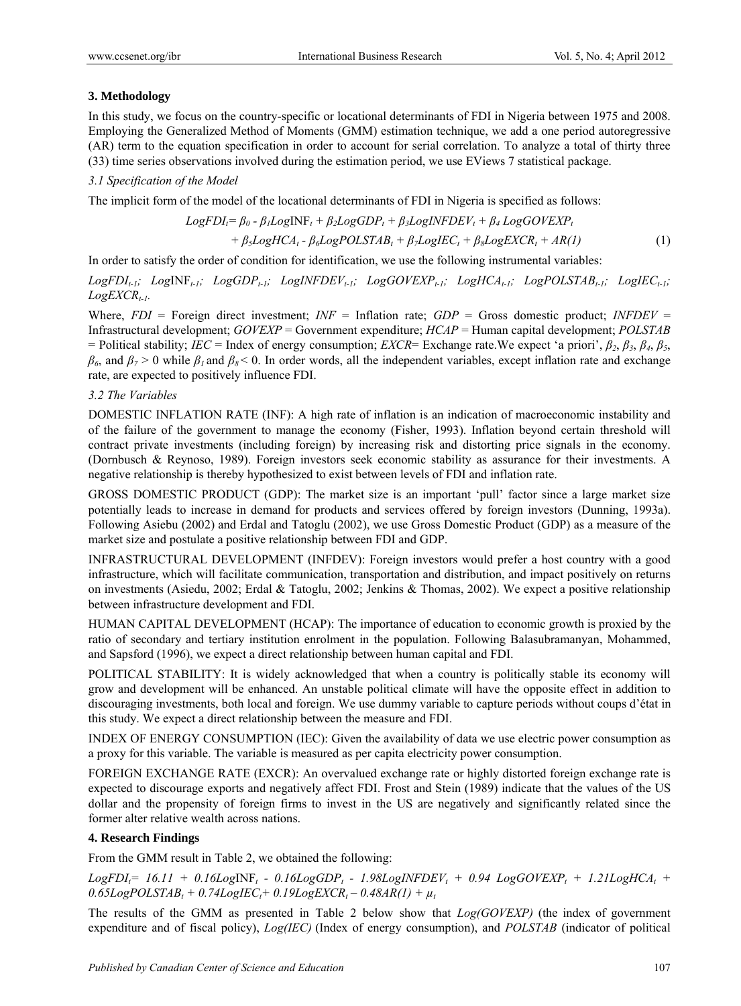## **3. Methodology**

In this study, we focus on the country-specific or locational determinants of FDI in Nigeria between 1975 and 2008. Employing the Generalized Method of Moments (GMM) estimation technique, we add a one period autoregressive (AR) term to the equation specification in order to account for serial correlation. To analyze a total of thirty three (33) time series observations involved during the estimation period, we use EViews 7 statistical package.

## *3.1 Specification of the Model*

The implicit form of the model of the locational determinants of FDI in Nigeria is specified as follows:

$$
LogFDI_{i} = \beta_{0} - \beta_{1}LogINF_{t} + \beta_{2}LogGDP_{t} + \beta_{3}LogINFDEV_{t} + \beta_{4}LogGOVEXP_{t} + \beta_{5}LogHCA_{t} - \beta_{6}LogPOLSTAB_{t} + \beta_{7}LogIEC_{t} + \beta_{8}LogEXCR_{t} + AR(1)
$$
\n(1)

In order to satisfy the order of condition for identification, we use the following instrumental variables:

 $LogFDI_{t-l}$ ;  $LogINF_{t-l}$ ;  $LogGDP_{t-l}$ ;  $LogINFDEF_{t-l}$ ;  $LogGOVEXP_{t-l}$ ;  $LogHCA_{t-l}$ ;  $LogPOLSTAB_{t-l}$ ;  $LogIEC_{t-l}$ ;  $LogEXCR_{t-1}$ .

Where,  $FDI$  = Foreign direct investment;  $INF$  = Inflation rate;  $GDP$  = Gross domestic product;  $INFDEV$  = Infrastructural development; *GOVEXP* = Government expenditure; *HCAP* = Human capital development; *POLSTAB* = Political stability; *IEC* = Index of energy consumption; *EXCR*= Exchange rate.We expect 'a priori', *β2*, *β3*, *β4*, *β5*,  $β<sub>6</sub>$ , and  $β<sub>7</sub> > 0$  while  $β<sub>1</sub>$  and  $β<sub>8</sub> < 0$ . In order words, all the independent variables, except inflation rate and exchange rate, are expected to positively influence FDI.

### *3.2 The Variables*

DOMESTIC INFLATION RATE (INF): A high rate of inflation is an indication of macroeconomic instability and of the failure of the government to manage the economy (Fisher, 1993). Inflation beyond certain threshold will contract private investments (including foreign) by increasing risk and distorting price signals in the economy. (Dornbusch & Reynoso, 1989). Foreign investors seek economic stability as assurance for their investments. A negative relationship is thereby hypothesized to exist between levels of FDI and inflation rate.

GROSS DOMESTIC PRODUCT (GDP): The market size is an important 'pull' factor since a large market size potentially leads to increase in demand for products and services offered by foreign investors (Dunning, 1993a). Following Asiebu (2002) and Erdal and Tatoglu (2002), we use Gross Domestic Product (GDP) as a measure of the market size and postulate a positive relationship between FDI and GDP.

INFRASTRUCTURAL DEVELOPMENT (INFDEV): Foreign investors would prefer a host country with a good infrastructure, which will facilitate communication, transportation and distribution, and impact positively on returns on investments (Asiedu, 2002; Erdal & Tatoglu, 2002; Jenkins & Thomas, 2002). We expect a positive relationship between infrastructure development and FDI.

HUMAN CAPITAL DEVELOPMENT (HCAP): The importance of education to economic growth is proxied by the ratio of secondary and tertiary institution enrolment in the population. Following Balasubramanyan, Mohammed, and Sapsford (1996), we expect a direct relationship between human capital and FDI.

POLITICAL STABILITY: It is widely acknowledged that when a country is politically stable its economy will grow and development will be enhanced. An unstable political climate will have the opposite effect in addition to discouraging investments, both local and foreign. We use dummy variable to capture periods without coups d'état in this study. We expect a direct relationship between the measure and FDI.

INDEX OF ENERGY CONSUMPTION (IEC): Given the availability of data we use electric power consumption as a proxy for this variable. The variable is measured as per capita electricity power consumption.

FOREIGN EXCHANGE RATE (EXCR): An overvalued exchange rate or highly distorted foreign exchange rate is expected to discourage exports and negatively affect FDI. Frost and Stein (1989) indicate that the values of the US dollar and the propensity of foreign firms to invest in the US are negatively and significantly related since the former alter relative wealth across nations.

## **4. Research Findings**

From the GMM result in Table 2, we obtained the following:

 $LogFDI_t = 16.11 + 0.16LogINF_t - 0.16LogGDP_t - 1.98LogINFDEV_t + 0.94 LogGOVEXP_t + 1.21LogHCA_t + 0.16LogFIDEV_t$  $0.65LogPOLSTAB<sub>t</sub> + 0.74LogIEC<sub>t</sub> + 0.19LogEXCR<sub>t</sub> - 0.48AR(1) +  $\mu_t$$ 

The results of the GMM as presented in Table 2 below show that *Log(GOVEXP)* (the index of government expenditure and of fiscal policy), *Log(IEC)* (Index of energy consumption), and *POLSTAB* (indicator of political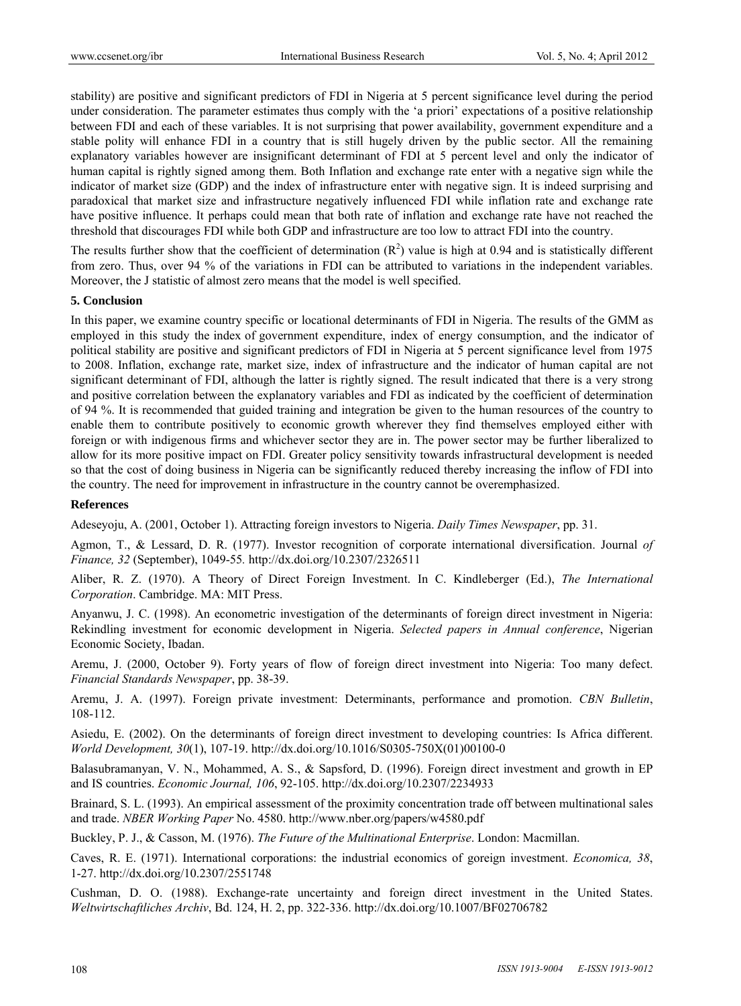stability) are positive and significant predictors of FDI in Nigeria at 5 percent significance level during the period under consideration. The parameter estimates thus comply with the 'a priori' expectations of a positive relationship between FDI and each of these variables. It is not surprising that power availability, government expenditure and a stable polity will enhance FDI in a country that is still hugely driven by the public sector. All the remaining explanatory variables however are insignificant determinant of FDI at 5 percent level and only the indicator of human capital is rightly signed among them. Both Inflation and exchange rate enter with a negative sign while the indicator of market size (GDP) and the index of infrastructure enter with negative sign. It is indeed surprising and paradoxical that market size and infrastructure negatively influenced FDI while inflation rate and exchange rate have positive influence. It perhaps could mean that both rate of inflation and exchange rate have not reached the threshold that discourages FDI while both GDP and infrastructure are too low to attract FDI into the country.

The results further show that the coefficient of determination  $(R^2)$  value is high at 0.94 and is statistically different from zero. Thus, over 94 % of the variations in FDI can be attributed to variations in the independent variables. Moreover, the J statistic of almost zero means that the model is well specified.

#### **5. Conclusion**

In this paper, we examine country specific or locational determinants of FDI in Nigeria. The results of the GMM as employed in this study the index of government expenditure, index of energy consumption, and the indicator of political stability are positive and significant predictors of FDI in Nigeria at 5 percent significance level from 1975 to 2008. Inflation, exchange rate, market size, index of infrastructure and the indicator of human capital are not significant determinant of FDI, although the latter is rightly signed. The result indicated that there is a very strong and positive correlation between the explanatory variables and FDI as indicated by the coefficient of determination of 94 %. It is recommended that guided training and integration be given to the human resources of the country to enable them to contribute positively to economic growth wherever they find themselves employed either with foreign or with indigenous firms and whichever sector they are in. The power sector may be further liberalized to allow for its more positive impact on FDI. Greater policy sensitivity towards infrastructural development is needed so that the cost of doing business in Nigeria can be significantly reduced thereby increasing the inflow of FDI into the country. The need for improvement in infrastructure in the country cannot be overemphasized.

#### **References**

Adeseyoju, A. (2001, October 1). Attracting foreign investors to Nigeria. *Daily Times Newspaper*, pp. 31.

Agmon, T., & Lessard, D. R. (1977). Investor recognition of corporate international diversification. Journal *of Finance, 32* (September), 1049-55*.* http://dx.doi.org/10.2307/2326511

Aliber, R. Z. (1970). A Theory of Direct Foreign Investment. In C. Kindleberger (Ed.), *The International Corporation*. Cambridge. MA: MIT Press.

Anyanwu, J. C. (1998). An econometric investigation of the determinants of foreign direct investment in Nigeria: Rekindling investment for economic development in Nigeria. *Selected papers in Annual conference*, Nigerian Economic Society, Ibadan.

Aremu, J. (2000, October 9). Forty years of flow of foreign direct investment into Nigeria: Too many defect. *Financial Standards Newspaper*, pp. 38-39.

Aremu, J. A. (1997). Foreign private investment: Determinants, performance and promotion. *CBN Bulletin*, 108-112.

Asiedu, E. (2002). On the determinants of foreign direct investment to developing countries: Is Africa different. *World Development, 30*(1), 107-19. http://dx.doi.org/10.1016/S0305-750X(01)00100-0

Balasubramanyan, V. N., Mohammed, A. S., & Sapsford, D. (1996). Foreign direct investment and growth in EP and IS countries. *Economic Journal, 106*, 92-105. http://dx.doi.org/10.2307/2234933

Brainard, S. L. (1993). An empirical assessment of the proximity concentration trade off between multinational sales and trade. *NBER Working Paper* No. 4580. http://www.nber.org/papers/w4580.pdf

Buckley, P. J., & Casson, M. (1976). *The Future of the Multinational Enterprise*. London: Macmillan.

Caves, R. E. (1971). International corporations: the industrial economics of goreign investment. *Economica, 38*, 1-27. http://dx.doi.org/10.2307/2551748

Cushman, D. O. (1988). Exchange-rate uncertainty and foreign direct investment in the United States. *Weltwirtschaftliches Archiv*, Bd. 124, H. 2, pp. 322-336. http://dx.doi.org/10.1007/BF02706782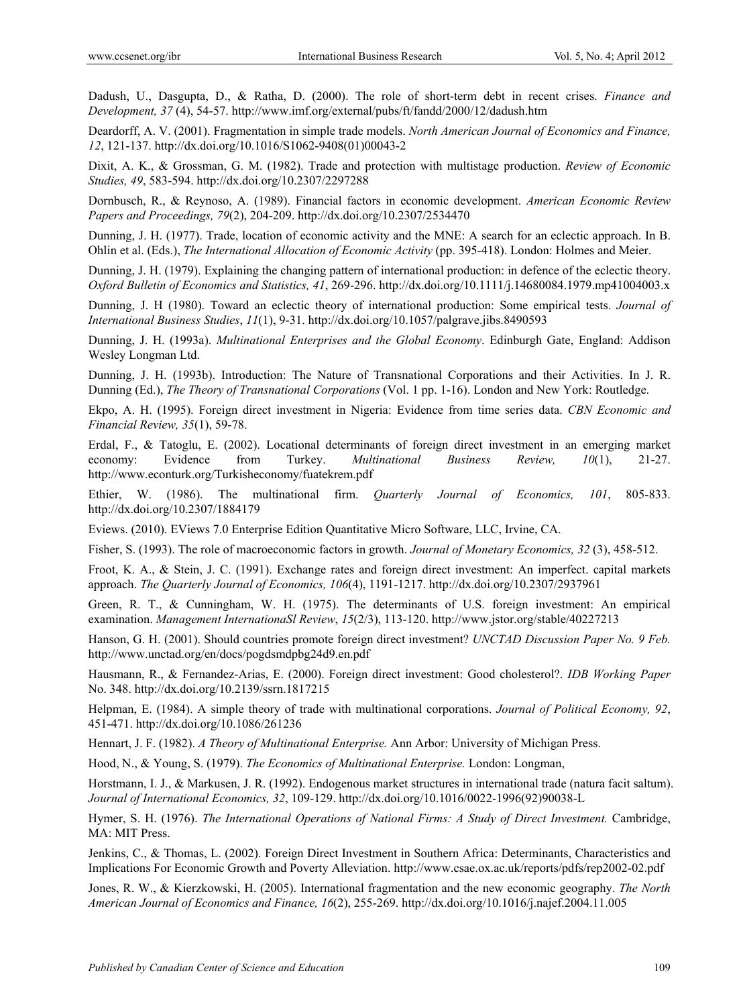Dadush, U., Dasgupta, D., & Ratha, D. (2000). The role of short-term debt in recent crises. *Finance and Development, 37* (4), 54-57. http://www.imf.org/external/pubs/ft/fandd/2000/12/dadush.htm

Deardorff, A. V. (2001). Fragmentation in simple trade models. *North American Journal of Economics and Finance, 12*, 121-137. http://dx.doi.org/10.1016/S1062-9408(01)00043-2

Dixit, A. K., & Grossman, G. M. (1982). Trade and protection with multistage production. *Review of Economic Studies, 49*, 583-594. http://dx.doi.org/10.2307/2297288

Dornbusch, R., & Reynoso, A. (1989). Financial factors in economic development. *American Economic Review Papers and Proceedings, 79*(2), 204-209. http://dx.doi.org/10.2307/2534470

Dunning, J. H. (1977). Trade, location of economic activity and the MNE: A search for an eclectic approach. In B. Ohlin et al. (Eds.), *The International Allocation of Economic Activity* (pp. 395-418). London: Holmes and Meier.

Dunning, J. H. (1979). Explaining the changing pattern of international production: in defence of the eclectic theory. *Oxford Bulletin of Economics and Statistics, 41*, 269-296. http://dx.doi.org/10.1111/j.14680084.1979.mp41004003.x

Dunning, J. H (1980). Toward an eclectic theory of international production: Some empirical tests. *Journal of International Business Studies*, *11*(1), 9-31. http://dx.doi.org/10.1057/palgrave.jibs.8490593

Dunning, J. H. (1993a). *Multinational Enterprises and the Global Economy*. Edinburgh Gate, England: Addison Wesley Longman Ltd.

Dunning, J. H. (1993b). Introduction: The Nature of Transnational Corporations and their Activities. In J. R. Dunning (Ed.), *The Theory of Transnational Corporations* (Vol. 1 pp. 1-16). London and New York: Routledge.

Ekpo, A. H. (1995). Foreign direct investment in Nigeria: Evidence from time series data. *CBN Economic and Financial Review, 35*(1), 59-78.

Erdal, F., & Tatoglu, E. (2002). Locational determinants of foreign direct investment in an emerging market economy: Evidence from Turkey. *Multinational Business Review, 10*(1), 21-27. http://www.econturk.org/Turkisheconomy/fuatekrem.pdf

Ethier, W. (1986). The multinational firm. *Quarterly Journal of Economics, 101*, 805-833. http://dx.doi.org/10.2307/1884179

Eviews. (2010). EViews 7.0 Enterprise Edition Quantitative Micro Software, LLC, Irvine, CA.

Fisher, S. (1993). The role of macroeconomic factors in growth. *Journal of Monetary Economics, 32* (3), 458-512.

Froot, K. A., & Stein, J. C. (1991). Exchange rates and foreign direct investment: An imperfect. capital markets approach. *The Quarterly Journal of Economics, 106*(4), 1191-1217. http://dx.doi.org/10.2307/2937961

Green, R. T., & Cunningham, W. H. (1975). The determinants of U.S. foreign investment: An empirical examination. *Management InternationaSl Review*, *15*(2/3), 113-120. http://www.jstor.org/stable/40227213

Hanson, G. H. (2001). Should countries promote foreign direct investment? *UNCTAD Discussion Paper No. 9 Feb.* http://www.unctad.org/en/docs/pogdsmdpbg24d9.en.pdf

Hausmann, R., & Fernandez-Arias, E. (2000). Foreign direct investment: Good cholesterol?. *IDB Working Paper*  No. 348. http://dx.doi.org/10.2139/ssrn.1817215

Helpman, E. (1984). A simple theory of trade with multinational corporations. *Journal of Political Economy, 92*, 451-471. http://dx.doi.org/10.1086/261236

Hennart, J. F. (1982). *A Theory of Multinational Enterprise.* Ann Arbor: University of Michigan Press.

Hood, N., & Young, S. (1979). *The Economics of Multinational Enterprise.* London: Longman,

Horstmann, I. J., & Markusen, J. R. (1992). Endogenous market structures in international trade (natura facit saltum). *Journal of International Economics, 32*, 109-129. http://dx.doi.org/10.1016/0022-1996(92)90038-L

Hymer, S. H. (1976). *The International Operations of National Firms: A Study of Direct Investment.* Cambridge, MA: MIT Press.

Jenkins, C., & Thomas, L. (2002). Foreign Direct Investment in Southern Africa: Determinants, Characteristics and Implications For Economic Growth and Poverty Alleviation. http://www.csae.ox.ac.uk/reports/pdfs/rep2002-02.pdf

Jones, R. W., & Kierzkowski, H. (2005). International fragmentation and the new economic geography. *The North American Journal of Economics and Finance, 16*(2), 255-269. http://dx.doi.org/10.1016/j.najef.2004.11.005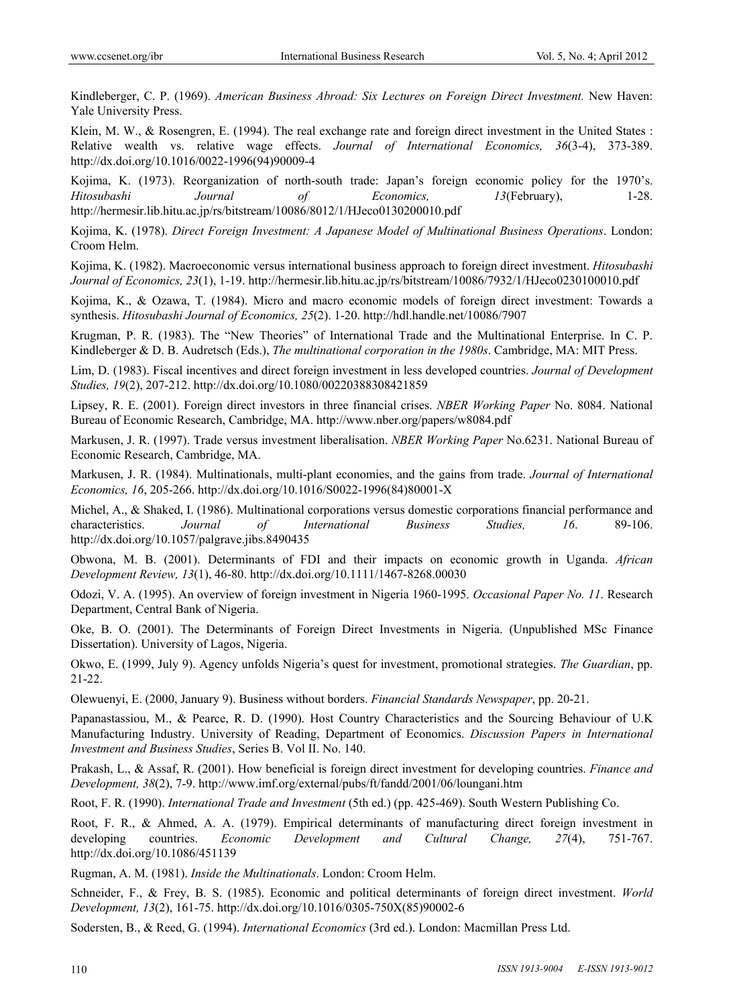Kindleberger, C. P. (1969). *American Business Abroad: Six Lectures on Foreign Direct Investment.* New Haven: Yale University Press.

Klein, M. W., & Rosengren, E. (1994). The real exchange rate and foreign direct investment in the United States : Relative wealth vs. relative wage effects. *Journal of International Economics, 36*(3-4), 373-389. http://dx.doi.org/10.1016/0022-1996(94)90009-4

Kojima, K. (1973). Reorganization of north-south trade: Japan's foreign economic policy for the 1970's. *Hitosubashi Journal of Economics, 13*(February), 1-28. http://hermesir.lib.hitu.ac.jp/rs/bitstream/10086/8012/1/HJeco0130200010.pdf

Kojima, K. (1978). *Direct Foreign Investment: A Japanese Model of Multinational Business Operations*. London: Croom Helm.

Kojima, K. (1982). Macroeconomic versus international business approach to foreign direct investment. *Hitosubashi Journal of Economics, 23*(1), 1-19. http://hermesir.lib.hitu.ac.jp/rs/bitstream/10086/7932/1/HJeco0230100010.pdf

Kojima, K., & Ozawa, T. (1984). Micro and macro economic models of foreign direct investment: Towards a synthesis. *Hitosubashi Journal of Economics, 25*(2). 1-20. http://hdl.handle.net/10086/7907

Krugman, P. R. (1983). The "New Theories" of International Trade and the Multinational Enterprise. In C. P. Kindleberger & D. B. Audretsch (Eds.), *The multinational corporation in the 1980s*. Cambridge, MA: MIT Press.

Lim, D. (1983). Fiscal incentives and direct foreign investment in less developed countries. *Journal of Development Studies, 19*(2), 207-212. http://dx.doi.org/10.1080/00220388308421859

Lipsey, R. E. (2001). Foreign direct investors in three financial crises. *NBER Working Paper* No. 8084. National Bureau of Economic Research, Cambridge, MA. http://www.nber.org/papers/w8084.pdf

Markusen, J. R. (1997). Trade versus investment liberalisation. *NBER Working Paper* No.6231. National Bureau of Economic Research, Cambridge, MA.

Markusen, J. R. (1984). Multinationals, multi-plant economies, and the gains from trade. *Journal of International Economics, 16*, 205-266. http://dx.doi.org/10.1016/S0022-1996(84)80001-X

Michel, A., & Shaked, I. (1986). Multinational corporations versus domestic corporations financial performance and characteristics. *Journal of International Business Studies, 16*. 89-106. http://dx.doi.org/10.1057/palgrave.jibs.8490435

Obwona, M. B. (2001). Determinants of FDI and their impacts on economic growth in Uganda. *African Development Review, 13*(1), 46-80. http://dx.doi.org/10.1111/1467-8268.00030

Odozi, V. A. (1995). An overview of foreign investment in Nigeria 1960-1995. *Occasional Paper No. 11*. Research Department, Central Bank of Nigeria.

Oke, B. O. (2001). The Determinants of Foreign Direct Investments in Nigeria. (Unpublished MSc Finance Dissertation). University of Lagos, Nigeria.

Okwo, E. (1999, July 9). Agency unfolds Nigeria's quest for investment, promotional strategies. *The Guardian*, pp. 21-22.

Olewuenyi, E. (2000, January 9). Business without borders. *Financial Standards Newspaper*, pp. 20-21.

Papanastassiou, M., & Pearce, R. D. (1990). Host Country Characteristics and the Sourcing Behaviour of U.K Manufacturing Industry. University of Reading, Department of Economics. *Discussion Papers in International Investment and Business Studies*, Series B. Vol II. No. 140.

Prakash, L., & Assaf, R. (2001). How beneficial is foreign direct investment for developing countries. *Finance and Development, 38*(2), 7-9. http://www.imf.org/external/pubs/ft/fandd/2001/06/loungani.htm

Root, F. R. (1990). *International Trade and Investment* (5th ed.) (pp. 425-469). South Western Publishing Co.

Root, F. R., & Ahmed, A. A. (1979). Empirical determinants of manufacturing direct foreign investment in developing countries. *Economic Development and Cultural Change, 27*(4), 751-767. http://dx.doi.org/10.1086/451139

Rugman, A. M. (1981). *Inside the Multinationals*. London: Croom Helm.

Schneider, F., & Frey, B. S. (1985). Economic and political determinants of foreign direct investment. *World Development, 13*(2), 161-75. http://dx.doi.org/10.1016/0305-750X(85)90002-6

Sodersten, B., & Reed, G. (1994). *International Economics* (3rd ed.). London: Macmillan Press Ltd.